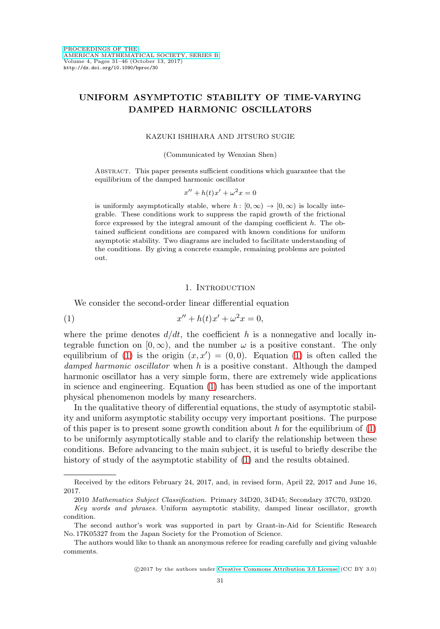# **UNIFORM ASYMPTOTIC STABILITY OF TIME-VARYING DAMPED HARMONIC OSCILLATORS**

#### KAZUKI ISHIHARA AND JITSURO SUGIE

#### (Communicated by Wenxian Shen)

Abstract. This paper presents sufficient conditions which guarantee that the equilibrium of the damped harmonic oscillator

$$
x'' + h(t)x' + \omega^2 x = 0
$$

is uniformly asymptotically stable, where  $h : [0, \infty) \to [0, \infty)$  is locally integrable. These conditions work to suppress the rapid growth of the frictional force expressed by the integral amount of the damping coefficient  $h$ . The obtained sufficient conditions are compared with known conditions for uniform asymptotic stability. Two diagrams are included to facilitate understanding of the conditions. By giving a concrete example, remaining problems are pointed out.

#### 1. INTRODUCTION

We consider the second-order linear differential equation

<span id="page-0-0"></span>(1) 
$$
x'' + h(t)x' + \omega^2 x = 0,
$$

where the prime denotes  $d/dt$ , the coefficient h is a nonnegative and locally integrable function on  $[0, \infty)$ , and the number  $\omega$  is a positive constant. The only equilibrium of [\(1\)](#page-0-0) is the origin  $(x, x') = (0, 0)$ . Equation (1) is often called the damped harmonic oscillator when h is a positive constant. Although the damped harmonic oscillator has a very simple form, there are extremely wide applications in science and engineering. Equation [\(1\)](#page-0-0) has been studied as one of the important physical phenomenon models by many researchers.

In the qualitative theory of differential equations, the study of asymptotic stability and uniform asymptotic stability occupy very important positions. The purpose of this paper is to present some growth condition about  $h$  for the equilibrium of  $(1)$ to be uniformly asymptotically stable and to clarify the relationship between these conditions. Before advancing to the main subject, it is useful to briefly describe the history of study of the asymptotic stability of [\(1\)](#page-0-0) and the results obtained.

Received by the editors February 24, 2017, and, in revised form, April 22, 2017 and June 16, 2017.

<sup>2010</sup> Mathematics Subject Classification. Primary 34D20, 34D45; Secondary 37C70, 93D20.

Key words and phrases. Uniform asymptotic stability, damped linear oscillator, growth condition.

The second author's work was supported in part by Grant-in-Aid for Scientific Research No. 17K05327 from the Japan Society for the Promotion of Science.

The authors would like to thank an anonymous referee for reading carefully and giving valuable comments.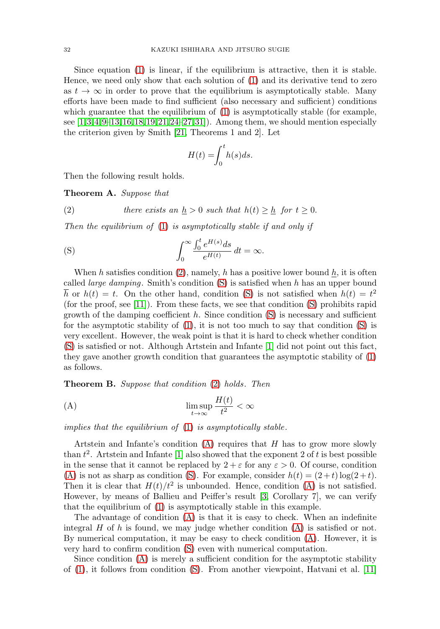Since equation [\(1\)](#page-0-0) is linear, if the equilibrium is attractive, then it is stable. Hence, we need only show that each solution of [\(1\)](#page-0-0) and its derivative tend to zero as  $t \to \infty$  in order to prove that the equilibrium is asymptotically stable. Many efforts have been made to find sufficient (also necessary and sufficient) conditions which guarantee that the equilibrium of [\(1\)](#page-0-0) is asymptotically stable (for example, see  $[1,3,4,9-13,16,18,19,21,24-27,31]$  $[1,3,4,9-13,16,18,19,21,24-27,31]$  $[1,3,4,9-13,16,18,19,21,24-27,31]$  $[1,3,4,9-13,16,18,19,21,24-27,31]$  $[1,3,4,9-13,16,18,19,21,24-27,31]$  $[1,3,4,9-13,16,18,19,21,24-27,31]$  $[1,3,4,9-13,16,18,19,21,24-27,31]$  $[1,3,4,9-13,16,18,19,21,24-27,31]$  $[1,3,4,9-13,16,18,19,21,24-27,31]$  $[1,3,4,9-13,16,18,19,21,24-27,31]$  $[1,3,4,9-13,16,18,19,21,24-27,31]$  $[1,3,4,9-13,16,18,19,21,24-27,31]$ . Among them, we should mention especially the criterion given by Smith [\[21,](#page-14-5) Theorems 1 and 2]. Let

$$
H(t) = \int_0^t h(s)ds.
$$

Then the following result holds.

**Theorem A.** Suppose that

<span id="page-1-0"></span>(2) *there exists an* 
$$
\underline{h} > 0
$$
 *such that*  $h(t) \geq \underline{h}$  *for*  $t \geq 0$ .

Then the equilibrium of  $(1)$  is asymptotically stable if and only if

<span id="page-1-1"></span>(S) 
$$
\int_0^\infty \frac{\int_0^t e^{H(s)} ds}{e^{H(t)}} dt = \infty.
$$

When h satisfies condition [\(2\)](#page-1-0), namely, h has a positive lower bound h, it is often called *large damping*. Smith's condition  $(S)$  is satisfied when h has an upper bound  $\overline{h}$  or  $h(t) = t$ . On the other hand, condition [\(S\)](#page-1-1) is not satisfied when  $h(t) = t^2$ (for the proof, see [\[11\]](#page-14-8)). From these facts, we see that condition [\(S\)](#page-1-1) prohibits rapid growth of the damping coefficient  $h$ . Since condition  $(S)$  is necessary and sufficient for the asymptotic stability of  $(1)$ , it is not too much to say that condition  $(S)$  is very excellent. However, the weak point is that it is hard to check whether condition [\(S\)](#page-1-1) is satisfied or not. Although Artstein and Infante [\[1\]](#page-13-0) did not point out this fact, they gave another growth condition that guarantees the asymptotic stability of [\(1\)](#page-0-0) as follows.

**Theorem B.** Suppose that condition [\(2\)](#page-1-0) holds. Then

<span id="page-1-2"></span>(A) 
$$
\limsup_{t \to \infty} \frac{H(t)}{t^2} < \infty
$$

implies that the equilibrium of [\(1\)](#page-0-0) is asymptotically stable.

Artstein and Infante's condition  $(A)$  requires that  $H$  has to grow more slowly than  $t^2$ . Artstein and Infante [\[1\]](#page-13-0) also showed that the exponent 2 of t is best possible in the sense that it cannot be replaced by  $2 + \varepsilon$  for any  $\varepsilon > 0$ . Of course, condition [\(A\)](#page-1-2) is not as sharp as condition [\(S\)](#page-1-1). For example, consider  $h(t) = (2 + t) \log(2 + t)$ . Then it is clear that  $H(t)/t^2$  is unbounded. Hence, condition [\(A\)](#page-1-2) is not satisfied. However, by means of Ballieu and Peiffer's result [\[3,](#page-13-1) Corollary 7], we can verify that the equilibrium of [\(1\)](#page-0-0) is asymptotically stable in this example.

The advantage of condition [\(A\)](#page-1-2) is that it is easy to check. When an indefinite integral  $H$  of  $h$  is found, we may judge whether condition  $(A)$  is satisfied or not. By numerical computation, it may be easy to check condition [\(A\)](#page-1-2). However, it is very hard to confirm condition [\(S\)](#page-1-1) even with numerical computation.

Since condition [\(A\)](#page-1-2) is merely a sufficient condition for the asymptotic stability of [\(1\)](#page-0-0), it follows from condition [\(S\)](#page-1-1). From another viewpoint, Hatvani et al. [\[11\]](#page-14-8)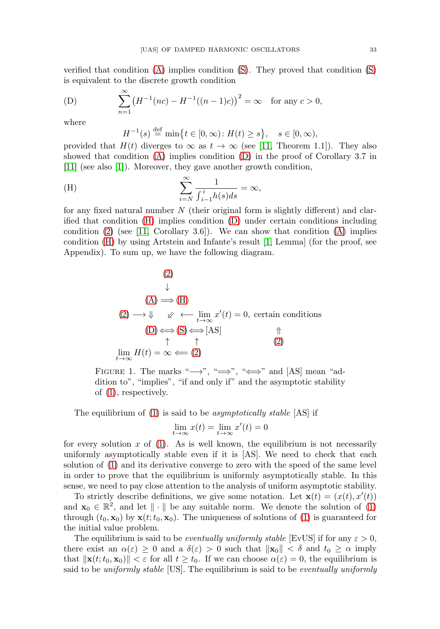verified that condition [\(A\)](#page-1-2) implies condition [\(S\)](#page-1-1). They proved that condition [\(S\)](#page-1-1) is equivalent to the discrete growth condition

<span id="page-2-0"></span>(D) 
$$
\sum_{n=1}^{\infty} (H^{-1}(nc) - H^{-1}((n-1)c))^2 = \infty \text{ for any } c > 0,
$$

where

$$
H^{-1}(s) \stackrel{\text{def}}{=} \min\bigl\{ t \in [0, \infty) \colon H(t) \ge s \bigr\}, \quad s \in [0, \infty),
$$

provided that  $H(t)$  diverges to  $\infty$  as  $t \to \infty$  (see [\[11,](#page-14-8) Theorem 1.1]). They also showed that condition  $(A)$  implies condition  $(D)$  in the proof of Corollary 3.7 in [\[11\]](#page-14-8) (see also [\[1\]](#page-13-0)). Moreover, they gave another growth condition,

<span id="page-2-1"></span>(H) 
$$
\sum_{i=N}^{\infty} \frac{1}{\int_{i-1}^{i} h(s)ds} = \infty,
$$

for any fixed natural number  $N$  (their original form is slightly different) and clarified that condition [\(H\)](#page-2-1) implies condition [\(D\)](#page-2-0) under certain conditions including condition  $(2)$  (see [\[11,](#page-14-8) Corollary 3.6]). We can show that condition  $(A)$  implies condition [\(H\)](#page-2-1) by using Artstein and Infante's result [\[1,](#page-13-0) Lemma] (for the proof, see Appendix). To sum up, we have the following diagram.

(2)  
\n
$$
\downarrow
$$
\n(A) \Longrightarrow (H)  
\n(2) \longrightarrow \Downarrow \swarrow \leftarrow \lim\_{t \to \infty} x'(t) = 0, \text{ certain conditions}\n(D) \Leftrightarrow (S) \Leftrightarrow [AS] \qquad \uparrow \qquad (2)  
\n
$$
\lim_{t \to \infty} H(t) = \infty \leftarrow (2)
$$

FIGURE 1. The marks " $\longrightarrow$ ", " $\Longrightarrow$ ", " $\Longleftrightarrow$ " and [AS] mean "addition to", "implies", "if and only if" and the asymptotic stability of [\(1\)](#page-0-0), respectively.

The equilibrium of [\(1\)](#page-0-0) is said to be *asymptotically stable* [AS] if

$$
\lim_{t \to \infty} x(t) = \lim_{t \to \infty} x'(t) = 0
$$

for every solution  $x$  of [\(1\)](#page-0-0). As is well known, the equilibrium is not necessarily uniformly asymptotically stable even if it is [AS]. We need to check that each solution of [\(1\)](#page-0-0) and its derivative converge to zero with the speed of the same level in order to prove that the equilibrium is uniformly asymptotically stable. In this sense, we need to pay close attention to the analysis of uniform asymptotic stability.

To strictly describe definitions, we give some notation. Let  $\mathbf{x}(t) = (x(t), x'(t))$ and  $\mathbf{x}_0 \in \mathbb{R}^2$ , and let  $\|\cdot\|$  be any suitable norm. We denote the solution of [\(1\)](#page-0-0) through  $(t_0, \mathbf{x}_0)$  by  $\mathbf{x}(t; t_0, \mathbf{x}_0)$ . The uniqueness of solutions of [\(1\)](#page-0-0) is guaranteed for the initial value problem.

The equilibrium is said to be *eventually uniformly stable* [EvUS] if for any  $\varepsilon > 0$ , there exist an  $\alpha(\varepsilon) \geq 0$  and a  $\delta(\varepsilon) > 0$  such that  $\|\mathbf{x}_0\| < \delta$  and  $t_0 \geq \alpha$  imply that  $\|\mathbf{x}(t; t_0, \mathbf{x}_0)\| < \varepsilon$  for all  $t \geq t_0$ . If we can choose  $\alpha(\varepsilon) = 0$ , the equilibrium is said to be uniformly stable [US]. The equilibrium is said to be eventually uniformly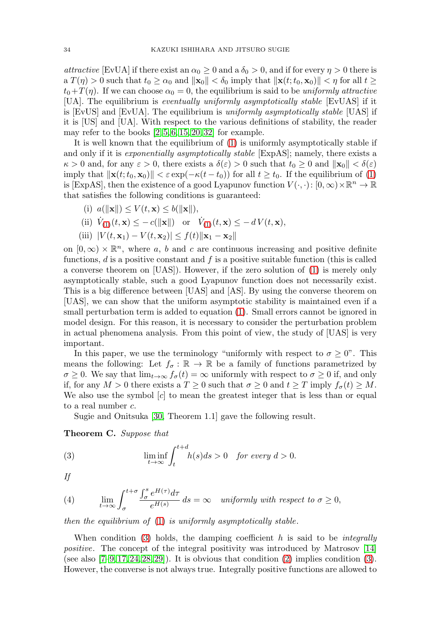attractive [EvUA] if there exist an  $\alpha_0 \geq 0$  and a  $\delta_0 > 0$ , and if for every  $\eta > 0$  there is  $\mathbf{a} \ T(\eta) > 0$  such that  $t_0 \geq \alpha_0$  and  $\|\mathbf{x}_0\| < \delta_0$  imply that  $\|\mathbf{x}(t; t_0, \mathbf{x}_0)\| < \eta$  for all  $t \geq$  $t_0+T(\eta)$ . If we can choose  $\alpha_0=0$ , the equilibrium is said to be uniformly attractive [UA]. The equilibrium is eventually uniformly asymptotically stable [EvUAS] if it is [EvUS] and [EvUA]. The equilibrium is uniformly asymptotically stable [UAS] if it is [US] and [UA]. With respect to the various definitions of stability, the reader may refer to the books  $[2, 5, 6, 15, 20, 32]$  $[2, 5, 6, 15, 20, 32]$  $[2, 5, 6, 15, 20, 32]$  $[2, 5, 6, 15, 20, 32]$  $[2, 5, 6, 15, 20, 32]$  $[2, 5, 6, 15, 20, 32]$  for example.

It is well known that the equilibrium of [\(1\)](#page-0-0) is uniformly asymptotically stable if and only if it is *exponentially asymptotically stable* [ExpAS]; namely, there exists a  $\kappa > 0$  and, for any  $\varepsilon > 0$ , there exists a  $\delta(\varepsilon) > 0$  such that  $t_0 \geq 0$  and  $\|\mathbf{x}_0\| < \delta(\varepsilon)$ imply that  $\|\mathbf{x}(t;t_0,\mathbf{x}_0)\| < \varepsilon \exp(-\kappa(t-t_0))$  for all  $t \geq t_0$ . If the equilibrium of [\(1\)](#page-0-0) is [ExpAS], then the existence of a good Lyapunov function  $V(\cdot, \cdot)$ :  $[0, \infty) \times \mathbb{R}^n \to \mathbb{R}$ that satisfies the following conditions is guaranteed:

(i) 
$$
a(||\mathbf{x}||) \le V(t, \mathbf{x}) \le b(||\mathbf{x}||)
$$
,

(ii) 
$$
\dot{V}_{(1)}(t, \mathbf{x}) \leq -c(||\mathbf{x}||)
$$
 or  $\dot{V}_{(1)}(t, \mathbf{x}) \leq -dV(t, \mathbf{x}),$ 

(iii)  $|V(t, \mathbf{x}_1) - V(t, \mathbf{x}_2)| \leq f(t) ||\mathbf{x}_1 - \mathbf{x}_2||$ 

on  $[0, \infty) \times \mathbb{R}^n$ , where a, b and c are continuous increasing and positive definite functions,  $d$  is a positive constant and  $f$  is a positive suitable function (this is called a converse theorem on [UAS]). However, if the zero solution of [\(1\)](#page-0-0) is merely only asymptotically stable, such a good Lyapunov function does not necessarily exist. This is a big difference between [UAS] and [AS]. By using the converse theorem on [UAS], we can show that the uniform asymptotic stability is maintained even if a small perturbation term is added to equation [\(1\)](#page-0-0). Small errors cannot be ignored in model design. For this reason, it is necessary to consider the perturbation problem in actual phenomena analysis. From this point of view, the study of [UAS] is very important.

In this paper, we use the terminology "uniformly with respect to  $\sigma \geq 0$ ". This means the following: Let  $f_{\sigma} : \mathbb{R} \to \mathbb{R}$  be a family of functions parametrized by  $\sigma \geq 0$ . We say that  $\lim_{t\to\infty} f_{\sigma}(t) = \infty$  uniformly with respect to  $\sigma \geq 0$  if, and only if, for any  $M > 0$  there exists a  $T \geq 0$  such that  $\sigma \geq 0$  and  $t \geq T$  imply  $f_{\sigma}(t) \geq M$ . We also use the symbol  $[c]$  to mean the greatest integer that is less than or equal to a real number c.

Sugie and Onitsuka [\[30,](#page-15-2) Theorem 1.1] gave the following result.

<span id="page-3-2"></span>**Theorem C.** Suppose that

<span id="page-3-0"></span>(3) 
$$
\liminf_{t \to \infty} \int_{t}^{t+d} h(s)ds > 0 \text{ for every } d > 0.
$$

If

<span id="page-3-1"></span>(4) 
$$
\lim_{t \to \infty} \int_{\sigma}^{t+\sigma} \frac{\int_{\sigma}^{s} e^{H(\tau)} d\tau}{e^{H(s)}} ds = \infty \text{ uniformly with respect to } \sigma \ge 0,
$$

then the equilibrium of [\(1\)](#page-0-0) is uniformly asymptotically stable.

When condition [\(3\)](#page-3-0) holds, the damping coefficient h is said to be *integrally* positive. The concept of the integral positivity was introduced by Matrosov [\[14\]](#page-14-11) (see also  $[7-9, 17, 24, 28, 29]$  $[7-9, 17, 24, 28, 29]$  $[7-9, 17, 24, 28, 29]$  $[7-9, 17, 24, 28, 29]$  $[7-9, 17, 24, 28, 29]$  $[7-9, 17, 24, 28, 29]$ ). It is obvious that condition  $(2)$  implies condition  $(3)$ . However, the converse is not always true. Integrally positive functions are allowed to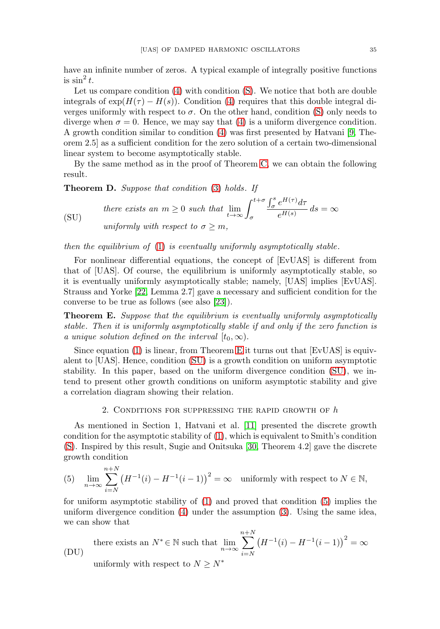have an infinite number of zeros. A typical example of integrally positive functions is  $\sin^2 t$ .

Let us compare condition  $(4)$  with condition  $(S)$ . We notice that both are double integrals of  $\exp(H(\tau) - H(s))$ . Condition [\(4\)](#page-3-1) requires that this double integral diverges uniformly with respect to  $\sigma$ . On the other hand, condition [\(S\)](#page-1-1) only needs to diverge when  $\sigma = 0$ . Hence, we may say that [\(4\)](#page-3-1) is a uniform divergence condition. A growth condition similar to condition [\(4\)](#page-3-1) was first presented by Hatvani [\[9,](#page-14-0) Theorem 2.5] as a sufficient condition for the zero solution of a certain two-dimensional linear system to become asymptotically stable.

By the same method as in the proof of Theorem [C,](#page-3-2) we can obtain the following result.

<span id="page-4-4"></span>**Theorem D.** Suppose that condition [\(3\)](#page-3-0) holds. If

<span id="page-4-1"></span>(SU) *there exists an* 
$$
m \ge 0
$$
 *such that*  $\lim_{t \to \infty} \int_{\sigma}^{t+\sigma} \frac{\int_{\sigma}^{s} e^{H(\tau)} d\tau}{e^{H(s)}} ds = \infty$   
 *uniformly with respect to*  $\sigma \ge m$ ,

then the equilibrium of [\(1\)](#page-0-0) is eventually uniformly asymptotically stable.

For nonlinear differential equations, the concept of [EvUAS] is different from that of [UAS]. Of course, the equilibrium is uniformly asymptotically stable, so it is eventually uniformly asymptotically stable; namely, [UAS] implies [EvUAS]. Strauss and Yorke [\[22,](#page-14-14) Lemma 2.7] gave a necessary and sufficient condition for the converse to be true as follows (see also [\[23\]](#page-14-15)).

<span id="page-4-0"></span>**Theorem E.** Suppose that the equilibrium is eventually uniformly asymptotically stable. Then it is uniformly asymptotically stable if and only if the zero function is a unique solution defined on the interval  $[t_0, \infty)$ .

Since equation [\(1\)](#page-0-0) is linear, from Theorem [E](#page-4-0) it turns out that [EvUAS] is equivalent to [UAS]. Hence, condition [\(SU\)](#page-4-1) is a growth condition on uniform asymptotic stability. In this paper, based on the uniform divergence condition [\(SU\)](#page-4-1), we intend to present other growth conditions on uniform asymptotic stability and give a correlation diagram showing their relation.

### 2. CONDITIONS FOR SUPPRESSING THE RAPID GROWTH OF  $h$

As mentioned in Section 1, Hatvani et al. [\[11\]](#page-14-8) presented the discrete growth condition for the asymptotic stability of [\(1\)](#page-0-0), which is equivalent to Smith's condition [\(S\)](#page-1-1). Inspired by this result, Sugie and Onitsuka [\[30,](#page-15-2) Theorem 4.2] gave the discrete growth condition

<span id="page-4-2"></span>(5) 
$$
\lim_{n \to \infty} \sum_{i=N}^{n+N} (H^{-1}(i) - H^{-1}(i-1))^2 = \infty \text{ uniformly with respect to } N \in \mathbb{N},
$$

for uniform asymptotic stability of [\(1\)](#page-0-0) and proved that condition [\(5\)](#page-4-2) implies the uniform divergence condition [\(4\)](#page-3-1) under the assumption [\(3\)](#page-3-0). Using the same idea, we can show that

<span id="page-4-3"></span>(DU) there exists an  $N^* \in \mathbb{N}$  such that  $\lim_{n \to \infty}$ n  $\sum$  $+N$  $i = N$  $(H^{-1}(i) - H^{-1}(i-1))^2 = \infty$ uniformly with respect to  $N \geq N^*$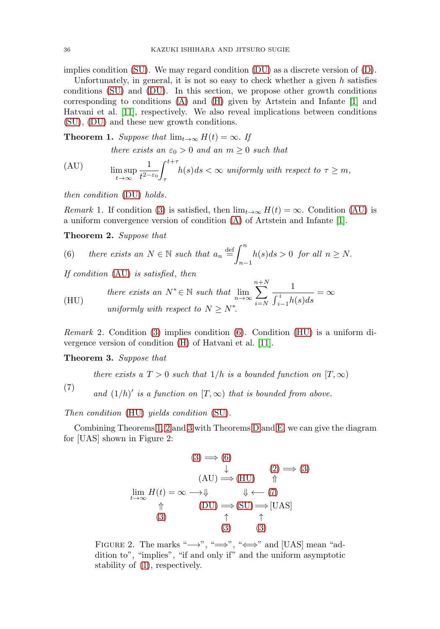implies condition [\(SU\)](#page-4-1). We may regard condition [\(DU\)](#page-4-3) as a discrete version of [\(D\)](#page-2-0).

Unfortunately, in general, it is not so easy to check whether a given  $h$  satisfies conditions [\(SU\)](#page-4-1) and [\(DU\)](#page-4-3). In this section, we propose other growth conditions corresponding to conditions [\(A\)](#page-1-2) and [\(H\)](#page-2-1) given by Artstein and Infante [\[1\]](#page-13-0) and Hatvani et al. [\[11\]](#page-14-8), respectively. We also reveal implications between conditions [\(SU\)](#page-4-1), [\(DU\)](#page-4-3) and these new growth conditions.

<span id="page-5-3"></span>**Theorem 1.** Suppose that  $\lim_{t\to\infty} H(t) = \infty$ . If there exists an  $\varepsilon_0 > 0$  and an  $m \geq 0$  such that

<span id="page-5-0"></span>(AU) 
$$
\limsup_{t \to \infty} \frac{1}{t^{2-\varepsilon_0}} \int_{\tau}^{t+\tau} h(s) ds < \infty \text{ uniformly with respect to } \tau \ge m,
$$

then condition [\(DU\)](#page-4-3) holds.

*Remark* 1. If condition [\(3\)](#page-3-0) is satisfied, then  $\lim_{t\to\infty} H(t) = \infty$ . Condition [\(AU\)](#page-5-0) is a uniform convergence version of condition [\(A\)](#page-1-2) of Artstein and Infante [\[1\]](#page-13-0).

<span id="page-5-4"></span>**Theorem 2.** Suppose that

<span id="page-5-1"></span>(6) there exists an 
$$
N \in \mathbb{N}
$$
 such that  $a_n \stackrel{\text{def}}{=} \int_{n-1}^n h(s)ds > 0$  for all  $n \ge N$ .

If condition [\(AU\)](#page-5-0) is satisfied, then

<span id="page-5-2"></span>(HU) *there exists an* 
$$
N^* \in \mathbb{N}
$$
 *such that*  $\lim_{n \to \infty} \sum_{i=N}^{n+N} \frac{1}{\int_{i-1}^i h(s)ds} = \infty$   
*uniformly with respect to*  $N \ge N^*$ .

Remark 2. Condition [\(3\)](#page-3-0) implies condition [\(6\)](#page-5-1). Condition [\(HU\)](#page-5-2) is a uniform divergence version of condition [\(H\)](#page-2-1) of Hatvani et al. [\[11\]](#page-14-8).

<span id="page-5-5"></span>**Theorem 3.** Suppose that

there exists a  $T > 0$  such that  $1/h$  is a bounded function on  $[T, \infty)$ 

<span id="page-5-6"></span>(7)

and  $(1/h)'$  is a function on  $[T, \infty)$  that is bounded from above.

Then condition [\(HU\)](#page-5-2) yields condition [\(SU\)](#page-4-1).

Combining Theorems [1,](#page-5-3) [2](#page-5-4) and [3](#page-5-5) with Theorems [D](#page-4-4) and [E,](#page-4-0) we can give the diagram for [UAS] shown in Figure 2:

$$
(3) \implies (6)
$$
  
\n
$$
\downarrow \qquad (2) \implies (3)
$$
  
\n
$$
\lim_{t \to \infty} H(t) = \infty \longrightarrow \Downarrow \qquad \Downarrow \longleftarrow (7)
$$
  
\n
$$
\uparrow \qquad (DU) \implies (SU) \implies [UAS]
$$
  
\n
$$
(3) \qquad \uparrow \qquad \uparrow
$$
  
\n
$$
(3) \qquad (3)
$$

FIGURE 2. The marks " $\longrightarrow$ ", " $\implies$ ", " $\iff$ " and [UAS] mean "addition to", "implies", "if and only if" and the uniform asymptotic stability of [\(1\)](#page-0-0), respectively.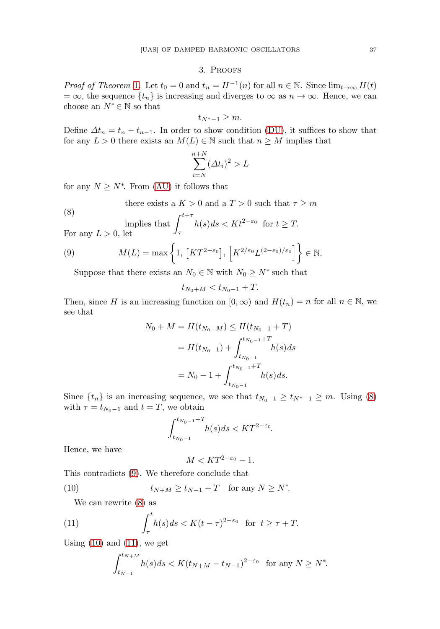# 3. Proofs

*Proof of Theorem* [1](#page-5-3). Let  $t_0 = 0$  and  $t_n = H^{-1}(n)$  for all  $n \in \mathbb{N}$ . Since  $\lim_{t\to\infty} H(t)$  $= \infty$ , the sequence  $\{t_n\}$  is increasing and diverges to  $\infty$  as  $n \to \infty$ . Hence, we can choose an  $N^* \in \mathbb{N}$  so that

$$
t_{N^*-1}\geq m.
$$

Define  $\Delta t_n = t_n - t_{n-1}$ . In order to show condition [\(DU\)](#page-4-3), it suffices to show that for any  $L > 0$  there exists an  $M(L) \in \mathbb{N}$  such that  $n \geq M$  implies that

$$
\sum_{i=N}^{n+N} (\Delta t_i)^2 > L
$$

for any  $N \geq N^*$ . From [\(AU\)](#page-5-0) it follows that

there exists a 
$$
K > 0
$$
 and a  $T > 0$  such that  $\tau \ge m$ 

<span id="page-6-0"></span>(8) implies that 
$$
\int_{\tau}^{t+\tau} h(s) ds < K t^{2-\varepsilon_0}
$$
 for  $t \geq T$ . For any  $L > 0$ , let

<span id="page-6-1"></span>(9) 
$$
M(L) = \max\left\{1, \left[KT^{2-\varepsilon_0}\right], \left[K^{2/\varepsilon_0}L^{(2-\varepsilon_0)/\varepsilon_0}\right]\right\} \in \mathbb{N}.
$$

Suppose that there exists an  $N_0 \in \mathbb{N}$  with  $N_0 \geq N^*$  such that

$$
t_{N_0+M} < t_{N_0-1} + T.
$$

Then, since H is an increasing function on  $[0, \infty)$  and  $H(t_n) = n$  for all  $n \in \mathbb{N}$ , we see that

$$
N_0 + M = H(t_{N_0+M}) \le H(t_{N_0-1} + T)
$$
  
=  $H(t_{N_0-1}) + \int_{t_{N_0-1}}^{t_{N_0-1} + T} h(s) ds$   
=  $N_0 - 1 + \int_{t_{N_0-1}}^{t_{N_0-1} + T} h(s) ds.$ 

Since  $\{t_n\}$  is an increasing sequence, we see that  $t_{N_0-1} \geq t_{N^*-1} \geq m$ . Using [\(8\)](#page-6-0) with  $\tau = t_{N_0-1}$  and  $t = T$ , we obtain

$$
\int_{t_{N_0-1}}^{t_{N_0-1}+T} h(s)ds < KT^{2-\varepsilon_0}.
$$

Hence, we have

$$
M < KT^{2-\varepsilon_0} - 1.
$$

This contradicts [\(9\)](#page-6-1). We therefore conclude that

<span id="page-6-2"></span>(10) 
$$
t_{N+M} \ge t_{N-1} + T \quad \text{for any } N \ge N^*.
$$

We can rewrite [\(8\)](#page-6-0) as

<span id="page-6-3"></span>(11) 
$$
\int_{\tau}^{t} h(s)ds < K(t-\tau)^{2-\varepsilon_0} \quad \text{for} \ \ t \ge \tau + T.
$$

Using  $(10)$  and  $(11)$ , we get

$$
\int_{t_{N-1}}^{t_{N+M}} h(s)ds < K(t_{N+M} - t_{N-1})^{2-\varepsilon_0} \quad \text{for any } N \ge N^*.
$$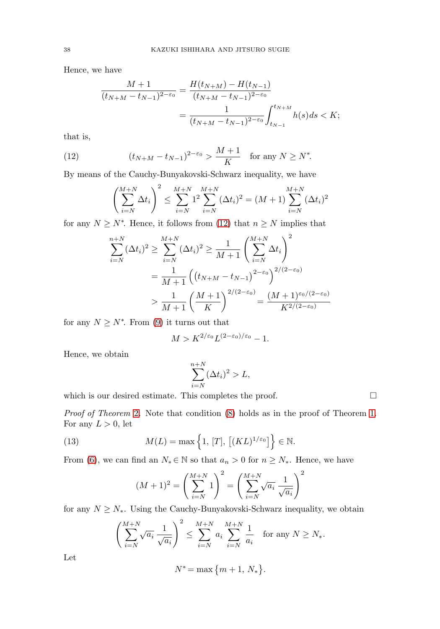Hence, we have

$$
\frac{M+1}{(t_{N+M}-t_{N-1})^{2-\varepsilon_0}} = \frac{H(t_{N+M}) - H(t_{N-1})}{(t_{N+M}-t_{N-1})^{2-\varepsilon_0}} \\
= \frac{1}{(t_{N+M}-t_{N-1})^{2-\varepsilon_0}} \int_{t_{N-1}}^{t_{N+M}} h(s)ds < K;
$$

that is,

<span id="page-7-0"></span>(12) 
$$
(t_{N+M} - t_{N-1})^{2-\epsilon_0} > \frac{M+1}{K} \text{ for any } N \ge N^*.
$$

By means of the Cauchy-Bunyakovski-Schwarz inequality, we have

$$
\left(\sum_{i=N}^{M+N} \Delta t_i\right)^2 \le \sum_{i=N}^{M+N} 1^2 \sum_{i=N}^{M+N} (\Delta t_i)^2 = (M+1) \sum_{i=N}^{M+N} (\Delta t_i)^2
$$

for any  $N \geq N^*$ . Hence, it follows from [\(12\)](#page-7-0) that  $n \geq N$  implies that

$$
\sum_{i=N}^{n+N} (\Delta t_i)^2 \ge \sum_{i=N}^{M+N} (\Delta t_i)^2 \ge \frac{1}{M+1} \left( \sum_{i=N}^{M+N} \Delta t_i \right)^2
$$
  
=  $\frac{1}{M+1} \left( \left( t_{N+M} - t_{N-1} \right)^{2-\varepsilon_0} \right)^{2/(2-\varepsilon_0)}$   
>  $\frac{1}{M+1} \left( \frac{M+1}{K} \right)^{2/(2-\varepsilon_0)} = \frac{(M+1)\varepsilon_0/(2-\varepsilon_0)}{K^{2/(2-\varepsilon_0)}}$ 

for any  $N \geq N^*$ . From [\(9\)](#page-6-1) it turns out that

$$
M > K^{2/\varepsilon_0} L^{(2-\varepsilon_0)/\varepsilon_0} - 1.
$$

Hence, we obtain

$$
\sum_{i=N}^{n+N} (\Delta t_i)^2 > L,
$$

 $\Box$ 

which is our desired estimate. This completes the proof.

Proof of Theorem [2](#page-5-4). Note that condition  $(8)$  holds as in the proof of Theorem [1.](#page-5-3) For any  $L > 0$ , let

<span id="page-7-1"></span>(13) 
$$
M(L) = \max\left\{1, [T], [(KL)^{1/\varepsilon_0}]\right\} \in \mathbb{N}.
$$

From [\(6\)](#page-5-1), we can find an  $N_* \in \mathbb{N}$  so that  $a_n > 0$  for  $n \geq N_*$ . Hence, we have

$$
(M+1)^{2} = \left(\sum_{i=N}^{M+N} 1\right)^{2} = \left(\sum_{i=N}^{M+N} \sqrt{a_{i}} \frac{1}{\sqrt{a_{i}}}\right)^{2}
$$

for any  $N \geq N_*$ . Using the Cauchy-Bunyakovski-Schwarz inequality, we obtain

$$
\left(\sum_{i=N}^{M+N} \sqrt{a_i} \frac{1}{\sqrt{a_i}}\right)^2 \le \sum_{i=N}^{M+N} a_i \sum_{i=N}^{M+N} \frac{1}{a_i} \quad \text{for any } N \ge N_*.
$$

Let

$$
N^* = \max\{m+1, N_*\}.
$$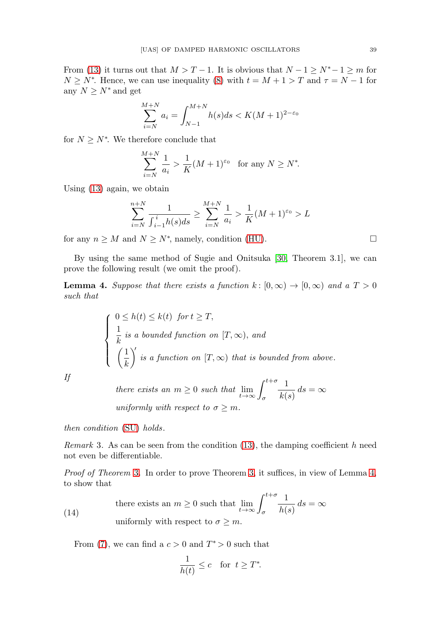From [\(13\)](#page-7-1) it turns out that  $M>T-1$ . It is obvious that  $N-1 \ge N^*-1 \ge m$  for  $N \geq N^*$ . Hence, we can use inequality [\(8\)](#page-6-0) with  $t = M + 1 > T$  and  $\tau = N - 1$  for any  $N \geq N^*$  and get

$$
\sum_{i=N}^{M+N} a_i = \int_{N-1}^{M+N} h(s)ds < K(M+1)^{2-\varepsilon_0}
$$

for  $N \geq N^*$ . We therefore conclude that

$$
\sum_{i=N}^{M+N} \frac{1}{a_i} > \frac{1}{K} (M+1)^{\varepsilon_0} \quad \text{for any } N \ge N^*.
$$

Using [\(13\)](#page-7-1) again, we obtain

$$
\sum_{i=N}^{n+N} \frac{1}{\int_{i-1}^{i} h(s)ds} \ge \sum_{i=N}^{M+N} \frac{1}{a_i} > \frac{1}{K} (M+1)^{\varepsilon_0} > L
$$

for any  $n \geq M$  and  $N \geq N^*$ , namely, condition [\(HU\)](#page-5-2).

By using the same method of Sugie and Onitsuka [\[30,](#page-15-2) Theorem 3.1], we can prove the following result (we omit the proof).

<span id="page-8-0"></span>**Lemma 4.** Suppose that there exists a function  $k : [0, \infty) \to [0, \infty)$  and a  $T > 0$ such that

$$
\begin{cases}\n0 \le h(t) \le k(t) \text{ for } t \ge T, \\
\frac{1}{k} \text{ is a bounded function on } [T, \infty), \text{ and} \\
\left(\frac{1}{k}\right)' \text{ is a function on } [T, \infty) \text{ that is bounded from above.} \n\end{cases}
$$

If

there exists an  $m \geq 0$  such that  $\lim_{t \to \infty} \int_{\sigma}^{t+\sigma}$ σ 1  $\frac{1}{k(s)} ds = \infty$ uniformly with respect to  $\sigma \geq m$ .

then condition [\(SU\)](#page-4-1) holds.

Remark 3. As can be seen from the condition  $(13)$ , the damping coefficient h need not even be differentiable.

Proof of Theorem [3](#page-5-5). In order to prove Theorem [3,](#page-5-5) it suffices, in view of Lemma [4,](#page-8-0) to show that

<span id="page-8-1"></span>(14) there exists an  $m \geq 0$  such that  $\lim_{t \to \infty} \int_{\sigma}^{t+\sigma}$ σ 1  $\frac{1}{h(s)} ds = \infty$ uniformly with respect to  $\sigma \geq m$ .

From [\(7\)](#page-5-6), we can find a  $c > 0$  and  $T^* > 0$  such that

$$
\frac{1}{h(t)} \le c \quad \text{for } t \ge T^*.
$$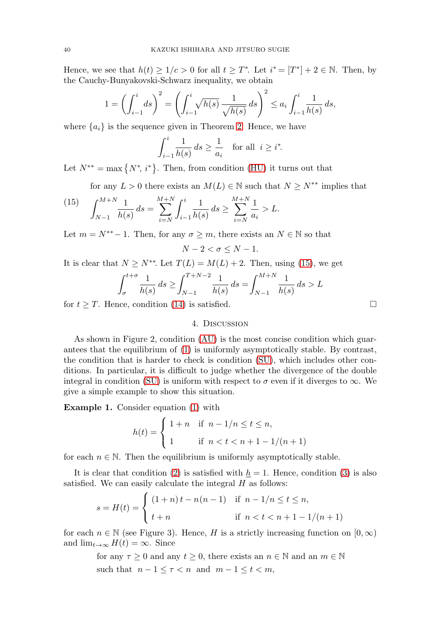Hence, we see that  $h(t) \geq 1/c > 0$  for all  $t \geq T^*$ . Let  $i^* = [T^*] + 2 \in \mathbb{N}$ . Then, by the Cauchy-Bunyakovski-Schwarz inequality, we obtain

$$
1 = \left(\int_{i-1}^i ds\right)^2 = \left(\int_{i-1}^i \sqrt{h(s)} \, \frac{1}{\sqrt{h(s)}} \, ds\right)^2 \le a_i \int_{i-1}^i \frac{1}{h(s)} \, ds,
$$

where  $\{a_i\}$  is the sequence given in Theorem [2.](#page-5-4) Hence, we have

$$
\int_{i-1}^{i} \frac{1}{h(s)} ds \ge \frac{1}{a_i} \quad \text{for all } i \ge i^*.
$$

Let  $N^{**} = \max\{N^*, i^*\}.$  Then, from condition [\(HU\)](#page-5-2) it turns out that

for any  $L > 0$  there exists an  $M(L) \in \mathbb{N}$  such that  $N \geq N^{**}$  implies that

<span id="page-9-0"></span>(15) 
$$
\int_{N-1}^{M+N} \frac{1}{h(s)} ds = \sum_{i=N}^{M+N} \int_{i-1}^{i} \frac{1}{h(s)} ds \ge \sum_{i=N}^{M+N} \frac{1}{a_i} > L.
$$

Let  $m = N^{**} - 1$ . Then, for any  $\sigma \geq m$ , there exists an  $N \in \mathbb{N}$  so that

$$
N-2 < \sigma \leq N-1.
$$

It is clear that  $N \ge N^{**}$ . Let  $T(L) = M(L) + 2$ . Then, using [\(15\)](#page-9-0), we get

$$
\int_{\sigma}^{t+\sigma} \frac{1}{h(s)} ds \ge \int_{N-1}^{T+N-2} \frac{1}{h(s)} ds = \int_{N-1}^{M+N} \frac{1}{h(s)} ds > L
$$

for  $t \geq T$ . Hence, condition [\(14\)](#page-8-1) is satisfied.  $\Box$ 

## 4. Discussion

As shown in Figure 2, condition [\(AU\)](#page-5-0) is the most concise condition which guarantees that the equilibrium of [\(1\)](#page-0-0) is uniformly asymptotically stable. By contrast, the condition that is harder to check is condition [\(SU\)](#page-4-1), which includes other conditions. In particular, it is difficult to judge whether the divergence of the double integral in condition [\(SU\)](#page-4-1) is uniform with respect to  $\sigma$  even if it diverges to  $\infty$ . We give a simple example to show this situation.

<span id="page-9-1"></span>**Example 1.** Consider equation [\(1\)](#page-0-0) with

$$
h(t) = \begin{cases} 1+n & \text{if } n-1/n \le t \le n, \\ 1 & \text{if } n < t < n+1-1/(n+1) \end{cases}
$$

for each  $n \in \mathbb{N}$ . Then the equilibrium is uniformly asymptotically stable.

It is clear that condition [\(2\)](#page-1-0) is satisfied with  $h = 1$ . Hence, condition [\(3\)](#page-3-0) is also satisfied. We can easily calculate the integral  $H$  as follows:

$$
s = H(t) = \begin{cases} (1+n)t - n(n-1) & \text{if } n - 1/n \le t \le n, \\ t+n & \text{if } n < t < n + 1 - 1/(n+1) \end{cases}
$$

for each  $n \in \mathbb{N}$  (see Figure 3). Hence, H is a strictly increasing function on  $[0, \infty)$ and  $\lim_{t\to\infty} H(t) = \infty$ . Since

> for any  $\tau \geq 0$  and any  $t \geq 0$ , there exists an  $n \in \mathbb{N}$  and an  $m \in \mathbb{N}$ such that  $n-1 \leq \tau < n$  and  $m-1 \leq t < m$ ,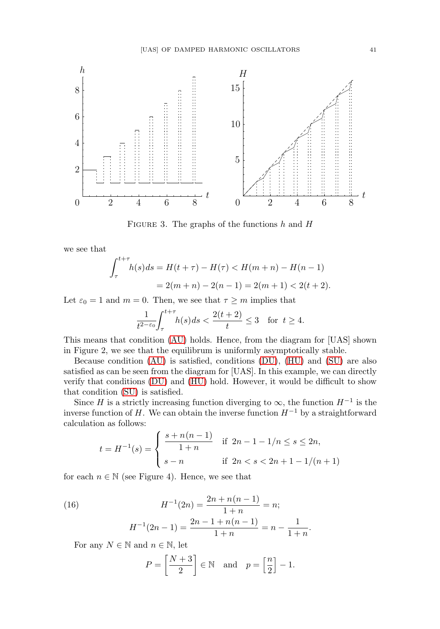

FIGURE 3. The graphs of the functions  $h$  and  $H$ 

we see that

$$
\int_{\tau}^{t+\tau} h(s)ds = H(t+\tau) - H(\tau) < H(m+n) - H(n-1)
$$
\n
$$
= 2(m+n) - 2(n-1) = 2(m+1) < 2(t+2).
$$

Let  $\varepsilon_0 = 1$  and  $m = 0$ . Then, we see that  $\tau \geq m$  implies that

$$
\frac{1}{t^{2-\varepsilon_0}} \int_{\tau}^{t+\tau} h(s)ds < \frac{2(t+2)}{t} \le 3 \quad \text{for } t \ge 4.
$$

This means that condition [\(AU\)](#page-5-0) holds. Hence, from the diagram for [UAS] shown in Figure 2, we see that the equilibrum is uniformly asymptotically stable.

Because condition [\(AU\)](#page-5-0) is satisfied, conditions [\(DU\)](#page-4-3), [\(HU\)](#page-5-2) and [\(SU\)](#page-4-1) are also satisfied as can be seen from the diagram for [UAS]. In this example, we can directly verify that conditions [\(DU\)](#page-4-3) and [\(HU\)](#page-5-2) hold. However, it would be difficult to show that condition [\(SU\)](#page-4-1) is satisfied.

Since H is a strictly increasing function diverging to  $\infty$ , the function  $H^{-1}$  is the inverse function of H. We can obtain the inverse function  $H^{-1}$  by a straightforward calculation as follows:

$$
t = H^{-1}(s) = \begin{cases} \frac{s + n(n-1)}{1+n} & \text{if } 2n - 1 - 1/n \le s \le 2n, \\ s - n & \text{if } 2n < s < 2n + 1 - 1/(n+1) \end{cases}
$$

for each  $n \in \mathbb{N}$  (see Figure 4). Hence, we see that

<span id="page-10-0"></span>(16) 
$$
H^{-1}(2n) = \frac{2n + n(n-1)}{1+n} = n;
$$

$$
H^{-1}(2n-1) = \frac{2n - 1 + n(n-1)}{1+n} = n - \frac{1}{1+n}.
$$

For any  $N \in \mathbb{N}$  and  $n \in \mathbb{N}$ , let

$$
P = \left[\frac{N+3}{2}\right] \in \mathbb{N} \quad \text{and} \quad p = \left[\frac{n}{2}\right] - 1.
$$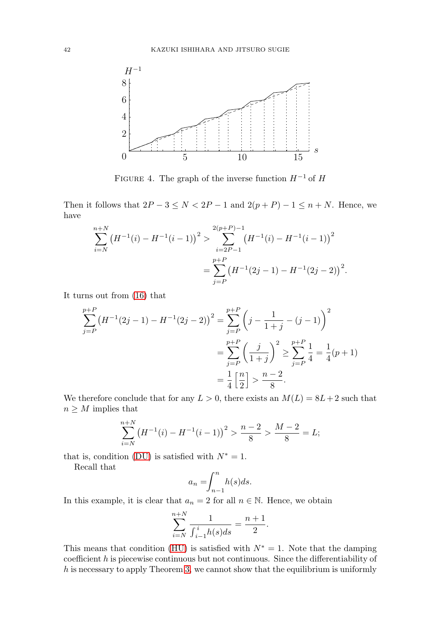

FIGURE 4. The graph of the inverse function  $H^{-1}$  of H

Then it follows that  $2P - 3 \le N < 2P - 1$  and  $2(p + P) - 1 \le n + N$ . Hence, we have

$$
\sum_{i=N}^{n+N} (H^{-1}(i) - H^{-1}(i-1))^2 > \sum_{i=2P-1}^{2(p+P)-1} (H^{-1}(i) - H^{-1}(i-1))^2
$$
  
= 
$$
\sum_{j=P}^{p+P} (H^{-1}(2j-1) - H^{-1}(2j-2))^2.
$$

It turns out from [\(16\)](#page-10-0) that

$$
\sum_{j=P}^{p+P} (H^{-1}(2j-1) - H^{-1}(2j-2))^2 = \sum_{j=P}^{p+P} \left(j - \frac{1}{1+j} - (j-1)\right)^2
$$

$$
= \sum_{j=P}^{p+P} \left(\frac{j}{1+j}\right)^2 \ge \sum_{j=P}^{p+P} \frac{1}{4} = \frac{1}{4}(p+1)
$$

$$
= \frac{1}{4} \left[\frac{n}{2}\right] > \frac{n-2}{8}.
$$

We therefore conclude that for any  $L > 0$ , there exists an  $M(L) = 8L + 2$  such that  $n \geq M$  implies that

$$
\sum_{i=N}^{n+N} \left( H^{-1}(i) - H^{-1}(i-1) \right)^2 > \frac{n-2}{8} > \frac{M-2}{8} = L;
$$

that is, condition [\(DU\)](#page-4-3) is satisfied with  $N^* = 1$ .

Recall that

$$
a_n = \int_{n-1}^n h(s)ds.
$$

In this example, it is clear that  $a_n = 2$  for all  $n \in \mathbb{N}$ . Hence, we obtain

$$
\sum_{i=N}^{n+N} \frac{1}{\int_{i-1}^{i} h(s)ds} = \frac{n+1}{2}.
$$

This means that condition [\(HU\)](#page-5-2) is satisfied with  $N^* = 1$ . Note that the damping coefficient  $h$  is piecewise continuous but not continuous. Since the differentiability of  $h$  is necessary to apply Theorem [3,](#page-5-5) we cannot show that the equilibrium is uniformly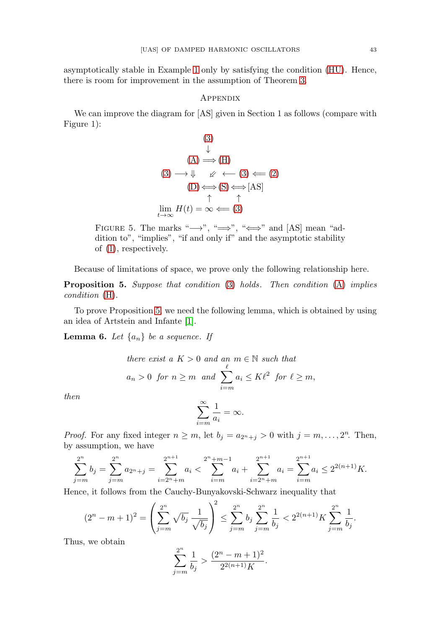asymptotically stable in Example [1](#page-9-1) only by satisfying the condition [\(HU\)](#page-5-2). Hence, there is room for improvement in the assumption of Theorem [3.](#page-5-5)

#### Appendix

We can improve the diagram for [AS] given in Section 1 as follows (compare with Figure 1):

$$
(3)
$$
\n
$$
\downarrow
$$
\n
$$
(A) \Longrightarrow(H)
$$
\n
$$
(3) \longrightarrow \Downarrow \quad \swarrow \leftarrow (3) \Longleftarrow (2)
$$
\n
$$
(D) \Longleftrightarrow(S) \Longleftrightarrow [AS]
$$
\n
$$
\uparrow \quad \uparrow
$$
\n
$$
\lim_{t \to \infty} H(t) = \infty \Longleftarrow (3)
$$

FIGURE 5. The marks " $\longrightarrow$ ", " $\implies$ ", " $\iff$ " and [AS] mean "addition to", "implies", "if and only if" and the asymptotic stability of [\(1\)](#page-0-0), respectively.

Because of limitations of space, we prove only the following relationship here.

<span id="page-12-0"></span>**Proposition 5.** Suppose that condition [\(3\)](#page-3-0) holds. Then condition [\(A\)](#page-1-2) implies condition [\(H\)](#page-2-1).

To prove Proposition [5,](#page-12-0) we need the following lemma, which is obtained by using an idea of Artstein and Infante [\[1\]](#page-13-0).

<span id="page-12-1"></span>**Lemma 6.** Let  $\{a_n\}$  be a sequence. If

there exist a 
$$
K > 0
$$
 and an  $m \in \mathbb{N}$  such that  
\n $a_n > 0$  for  $n \ge m$  and  $\sum_{i=m}^{\ell} a_i \le K\ell^2$  for  $\ell \ge m$ ,

then

$$
\sum_{i=m}^{\infty} \frac{1}{a_i} = \infty.
$$

*Proof.* For any fixed integer  $n \geq m$ , let  $b_j = a_{2^n + j} > 0$  with  $j = m, \ldots, 2^n$ . Then, by assumption, we have

$$
\sum_{j=m}^{2^n} b_j = \sum_{j=m}^{2^n} a_{2^n+j} = \sum_{i=2^n+m}^{2^{n+1}} a_i < \sum_{i=m}^{2^n+m-1} a_i + \sum_{i=2^n+m}^{2^{n+1}} a_i = \sum_{i=m}^{2^{n+1}} a_i \le 2^{2(n+1)} K.
$$

Hence, it follows from the Cauchy-Bunyakovski-Schwarz inequality that

$$
(2^{n} - m + 1)^{2} = \left(\sum_{j=m}^{2^{n}} \sqrt{b_{j}} \frac{1}{\sqrt{b_{j}}}\right)^{2} \le \sum_{j=m}^{2^{n}} b_{j} \sum_{j=m}^{2^{n}} \frac{1}{b_{j}} < 2^{2(n+1)} K \sum_{j=m}^{2^{n}} \frac{1}{b_{j}}.
$$

Thus, we obtain

$$
\sum_{j=m}^{2^n}\frac{1}{b_j} > \frac{(2^n-m+1)^2}{2^{2(n+1)}K}.
$$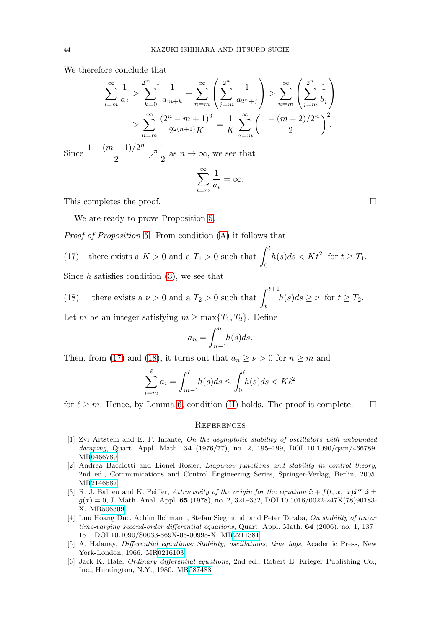We therefore conclude that

$$
\sum_{i=m}^{\infty} \frac{1}{a_j} > \sum_{k=0}^{2^m - 1} \frac{1}{a_{m+k}} + \sum_{n=m}^{\infty} \left( \sum_{j=m}^{2^n} \frac{1}{a_{2^n+j}} \right) > \sum_{n=m}^{\infty} \left( \sum_{j=m}^{2^n} \frac{1}{b_j} \right)
$$
  

$$
> \sum_{n=m}^{\infty} \frac{(2^n - m + 1)^2}{2^{2(n+1)}K} = \frac{1}{K} \sum_{n=m}^{\infty} \left( \frac{1 - (m-2)/2^n}{2} \right)^2.
$$
  
Since  $\frac{1 - (m-1)/2^n}{2} \nearrow \frac{1}{2}$  as  $n \to \infty$ , we see that  

$$
\sum_{i=m}^{\infty} \frac{1}{a_i} = \infty.
$$

This completes the proof.  $\Box$ 

We are ready to prove Proposition [5.](#page-12-0)

Proof of Proposition [5](#page-12-0). From condition [\(A\)](#page-1-2) it follows that

<span id="page-13-6"></span>(17) there exists a 
$$
K > 0
$$
 and a  $T_1 > 0$  such that  $\int_0^t h(s)ds < Kt^2$  for  $t \ge T_1$ .

Since  $h$  satisfies condition  $(3)$ , we see that

<span id="page-13-7"></span>(18) there exists a  $\nu > 0$  and a  $T_2 > 0$  such that  $\int_{t+1}^{t+1}$  $h(s)ds \geq \nu \ \text{ for } t \geq T_2.$ 

Let m be an integer satisfying  $m \ge \max\{T_1, T_2\}$ . Define

$$
a_n = \int_{n-1}^n h(s)ds.
$$

Then, from [\(17\)](#page-13-6) and [\(18\)](#page-13-7), it turns out that  $a_n \ge \nu > 0$  for  $n \ge m$  and

$$
\sum_{i=m}^{\ell} a_i = \int_{m-1}^{\ell} h(s)ds \le \int_0^{\ell} h(s)ds < K\ell^2
$$

for  $\ell \geq m$ . Hence, by Lemma [6,](#page-12-1) condition [\(H\)](#page-2-1) holds. The proof is complete.  $\Box$ 

#### **REFERENCES**

- <span id="page-13-0"></span>[1] Zvi Artstein and E. F. Infante, On the asymptotic stability of oscillators with unbounded damping, Quart. Appl. Math. **34** (1976/77), no. 2, 195–199, DOI 10.1090/qam/466789. M[R0466789](http://www.ams.org/mathscinet-getitem?mr=0466789)
- <span id="page-13-3"></span>[2] Andrea Bacciotti and Lionel Rosier, Liapunov functions and stability in control theory, 2nd ed., Communications and Control Engineering Series, Springer-Verlag, Berlin, 2005. M[R2146587](http://www.ams.org/mathscinet-getitem?mr=2146587)
- <span id="page-13-1"></span>[3] R. J. Ballieu and K. Peiffer, Attractivity of the origin for the equation  $\ddot{x} + f(t, x, \dot{x}) \dot{x}^{\alpha} \dot{x} + f(t, x, \dot{y}) \dot{x}^{\alpha} \dot{x}$  $g(x) = 0$ , J. Math. Anal. Appl. **65** (1978), no. 2, 321–332, DOI 10.1016/0022-247X(78)90183-X. M[R506309](http://www.ams.org/mathscinet-getitem?mr=506309)
- <span id="page-13-2"></span>[4] Luu Hoang Duc, Achim Ilchmann, Stefan Siegmund, and Peter Taraba, On stability of linear time-varying second-order differential equations, Quart. Appl. Math. **64** (2006), no. 1, 137– 151, DOI 10.1090/S0033-569X-06-00995-X. M[R2211381](http://www.ams.org/mathscinet-getitem?mr=2211381)
- <span id="page-13-4"></span>[5] A. Halanay, Differential equations: Stability, oscillations, time lags, Academic Press, New York-London, 1966. M[R0216103](http://www.ams.org/mathscinet-getitem?mr=0216103)
- <span id="page-13-5"></span>[6] Jack K. Hale, Ordinary differential equations, 2nd ed., Robert E. Krieger Publishing Co., Inc., Huntington, N.Y., 1980. M[R587488](http://www.ams.org/mathscinet-getitem?mr=587488)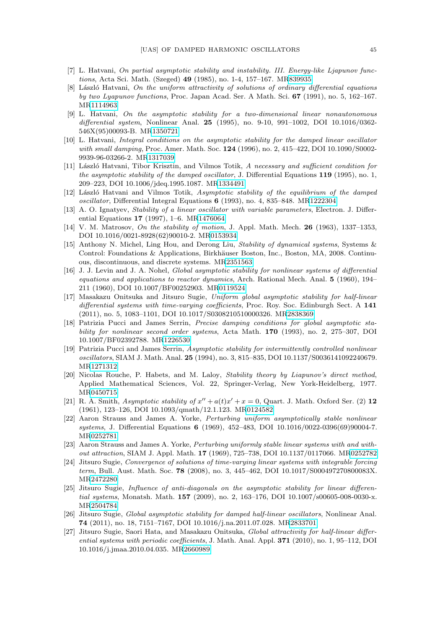- <span id="page-14-12"></span>[7] L. Hatvani, On partial asymptotic stability and instability. III. Energy-like Ljapunov functions, Acta Sci. Math. (Szeged) **49** (1985), no. 1-4, 157–167. M[R839935](http://www.ams.org/mathscinet-getitem?mr=839935)
- [8] László Hatvani, On the uniform attractivity of solutions of ordinary differential equations by two Lyapunov functions, Proc. Japan Acad. Ser. A Math. Sci. **67** (1991), no. 5, 162–167. M[R1114963](http://www.ams.org/mathscinet-getitem?mr=1114963)
- <span id="page-14-0"></span>[9] L. Hatvani, On the asymptotic stability for a two-dimensional linear nonautonomous differential system, Nonlinear Anal. **25** (1995), no. 9-10, 991–1002, DOI 10.1016/0362- 546X(95)00093-B. M[R1350721](http://www.ams.org/mathscinet-getitem?mr=1350721)
- [10] L. Hatvani, Integral conditions on the asymptotic stability for the damped linear oscillator with small damping, Proc. Amer. Math. Soc. **124** (1996), no. 2, 415–422, DOI 10.1090/S0002- 9939-96-03266-2. M[R1317039](http://www.ams.org/mathscinet-getitem?mr=1317039)
- <span id="page-14-8"></span>[11] László Hatvani, Tibor Krisztin, and Vilmos Totik, A necessary and sufficient condition for the asymptotic stability of the damped oscillator, J. Differential Equations **119** (1995), no. 1, 209–223, DOI 10.1006/jdeq.1995.1087. M[R1334491](http://www.ams.org/mathscinet-getitem?mr=1334491)
- [12] László Hatvani and Vilmos Totik, Asymptotic stability of the equilibrium of the damped oscillator, Differential Integral Equations **6** (1993), no. 4, 835–848. M[R1222304](http://www.ams.org/mathscinet-getitem?mr=1222304)
- <span id="page-14-1"></span>[13] A. O. Ignatyev, Stability of a linear oscillator with variable parameters, Electron. J. Differential Equations **17** (1997), 1–6. M[R1476064](http://www.ams.org/mathscinet-getitem?mr=1476064)
- <span id="page-14-11"></span>[14] V. M. Matrosov, On the stability of motion, J. Appl. Math. Mech. **26** (1963), 1337–1353, DOI 10.1016/0021-8928(62)90010-2. M[R0153934](http://www.ams.org/mathscinet-getitem?mr=0153934)
- <span id="page-14-9"></span>[15] Anthony N. Michel, Ling Hou, and Derong Liu, Stability of dynamical systems, Systems & Control: Foundations & Applications, Birkhäuser Boston, Inc., Boston, MA, 2008. Continuous, discontinuous, and discrete systems. M[R2351563](http://www.ams.org/mathscinet-getitem?mr=2351563)
- <span id="page-14-2"></span>[16] J. J. Levin and J. A. Nohel, Global asymptotic stability for nonlinear systems of differential equations and applications to reactor dynamics, Arch. Rational Mech. Anal. **5** (1960), 194– 211 (1960), DOI 10.1007/BF00252903. M[R0119524](http://www.ams.org/mathscinet-getitem?mr=0119524)
- <span id="page-14-13"></span>[17] Masakazu Onitsuka and Jitsuro Sugie, Uniform global asymptotic stability for half-linear differential systems with time-varying coefficients, Proc. Roy. Soc. Edinburgh Sect. A **141** (2011), no. 5, 1083–1101, DOI 10.1017/S0308210510000326. M[R2838369](http://www.ams.org/mathscinet-getitem?mr=2838369)
- <span id="page-14-3"></span>[18] Patrizia Pucci and James Serrin, Precise damping conditions for global asymptotic stability for nonlinear second order systems, Acta Math. **170** (1993), no. 2, 275–307, DOI 10.1007/BF02392788. M[R1226530](http://www.ams.org/mathscinet-getitem?mr=1226530)
- <span id="page-14-4"></span>[19] Patrizia Pucci and James Serrin, Asymptotic stability for intermittently controlled nonlinear oscillators, SIAM J. Math. Anal. **25** (1994), no. 3, 815–835, DOI 10.1137/S0036141092240679. M[R1271312](http://www.ams.org/mathscinet-getitem?mr=1271312)
- <span id="page-14-10"></span>[20] Nicolas Rouche, P. Habets, and M. Laloy, Stability theory by Liapunov's direct method, Applied Mathematical Sciences, Vol. 22, Springer-Verlag, New York-Heidelberg, 1977. M[R0450715](http://www.ams.org/mathscinet-getitem?mr=0450715)
- <span id="page-14-5"></span>[21] R. A. Smith, Asymptotic stability of  $x'' + a(t)x' + x = 0$ , Quart. J. Math. Oxford Ser. (2) 12 (1961), 123–126, DOI 10.1093/qmath/12.1.123. M[R0124582](http://www.ams.org/mathscinet-getitem?mr=0124582)
- <span id="page-14-14"></span>[22] Aaron Strauss and James A. Yorke, Perturbing uniform asymptotically stable nonlinear systems, J. Differential Equations **6** (1969), 452–483, DOI 10.1016/0022-0396(69)90004-7. M[R0252781](http://www.ams.org/mathscinet-getitem?mr=0252781)
- <span id="page-14-15"></span>[23] Aaron Strauss and James A. Yorke, Perturbing uniformly stable linear systems with and without attraction, SIAM J. Appl. Math. **17** (1969), 725–738, DOI 10.1137/0117066. M[R0252782](http://www.ams.org/mathscinet-getitem?mr=0252782)
- <span id="page-14-6"></span>[24] Jitsuro Sugie, Convergence of solutions of time-varying linear systems with integrable forcing term, Bull. Aust. Math. Soc. **78** (2008), no. 3, 445–462, DOI 10.1017/S000497270800083X. M[R2472280](http://www.ams.org/mathscinet-getitem?mr=2472280)
- [25] Jitsuro Sugie, Influence of anti-diagonals on the asymptotic stability for linear differential systems, Monatsh. Math. **157** (2009), no. 2, 163-176, DOI 10.1007/s00605-008-0030-x. M[R2504784](http://www.ams.org/mathscinet-getitem?mr=2504784)
- [26] Jitsuro Sugie, Global asymptotic stability for damped half-linear oscillators, Nonlinear Anal. **74** (2011), no. 18, 7151–7167, DOI 10.1016/j.na.2011.07.028. M[R2833701](http://www.ams.org/mathscinet-getitem?mr=2833701)
- <span id="page-14-7"></span>[27] Jitsuro Sugie, Saori Hata, and Masakazu Onitsuka, Global attractivity for half-linear differential systems with periodic coefficients, J. Math. Anal. Appl. **371** (2010), no. 1, 95–112, DOI 10.1016/j.jmaa.2010.04.035. M[R2660989](http://www.ams.org/mathscinet-getitem?mr=2660989)